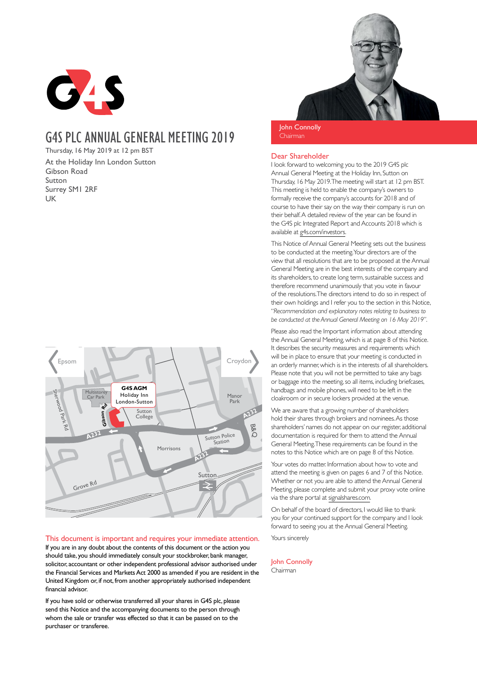

# G4SPLC ANNUAL GENERAL MEETING 2019

Thursday, 16 May 2019 at 12 pm BST At the Holiday Inn London Sutton Gibson Road Sutton Surrey SM1 2RF UK



# This document is important and requires your immediate attention.

If you are in any doubt about the contents of this document or the action you should take, you should immediately consult your stockbroker, bank manager, solicitor, accountant or other independent professional advisor authorised under the Financial Services and Markets Act 2000 as amended if you are resident in the United Kingdom or, if not, from another appropriately authorised independent financial advisor.

If you have sold or otherwise transferred all your shares in G4S plc, please send this Notice and the accompanying documents to the person through whom the sale or transfer was effected so that it can be passed on to the purchaser or transferee.



John Connolly Chairman

# Dear Shareholder

I look forward to welcoming you to the 2019 G4S plc Annual General Meeting at the Holiday Inn, Sutton on Thursday, 16 May 2019. The meeting will start at 12 pm BST. This meeting is held to enable the company's owners to formally receive the company's accounts for 2018 and of course to have their say on the way their company is run on their behalf. A detailed review of the year can be found in the G4S plc Integrated Report and Accounts 2018 which is available at g4s.com/investors.

This Notice of Annual General Meeting sets out the business to be conducted at the meeting. Your directors are of the view that all resolutions that are to be proposed at the Annual General Meeting are in the best interests of the company and its shareholders, to create long term, sustainable success and therefore recommend unanimously that you vote in favour of the resolutions. The directors intend to do so in respect of their own holdings and I refer you to the section in this Notice, "*Recommendation and explanatory notes relating to business to be conducted at the Annual General Meeting on 16 May 2019"*.

Please also read the Important information about attending the Annual General Meeting, which is at page 8 of this Notice. It describes the security measures and requirements which will be in place to ensure that your meeting is conducted in an orderly manner, which is in the interests of all shareholders. Please note that you will not be permitted to take any bags or baggage into the meeting, so all items, including briefcases, handbags and mobile phones, will need to be left in the cloakroom or in secure lockers provided at the venue.

We are aware that a growing number of shareholders hold their shares through brokers and nominees. As those shareholders' names do not appear on our register, additional documentation is required for them to attend the Annual General Meeting. These requirements can be found in the notes to this Notice which are on page 8 of this Notice.

Your votes do matter. Information about how to vote and attend the meeting is given on pages 6 and 7 of this Notice. Whether or not you are able to attend the Annual General Meeting, please complete and submit your proxy vote online via the share portal at signalshares.com.

On behalf of the board of directors, I would like to thank you for your continued support for the company and I look forward to seeing you at the Annual General Meeting.

Yours sincerely

#### John Connolly Chairman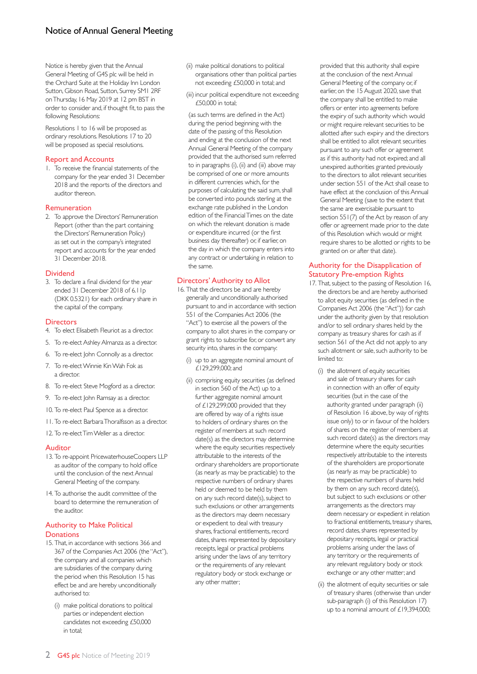Notice is hereby given that the Annual General Meeting of G4S plc will be held in the Orchard Suite at the Holiday Inn London Sutton, Gibson Road, Sutton, Surrey SM1 2RF on Thursday, 16 May 2019 at 12 pm BST in order to consider and, if thought fit, to pass the following Resolutions:

Resolutions 1 to 16 will be proposed as ordinary resolutions. Resolutions 17 to 20 will be proposed as special resolutions.

# Report and Accounts

1. To receive the financial statements of the company for the year ended 31 December 2018 and the reports of the directors and auditor thereon.

# Remuneration

2. To approve the Directors' Remuneration Report (other than the part containing the Directors' Remuneration Policy) as set out in the company's integrated report and accounts for the year ended 31 December 2018.

# **Dividend**

3. To declare a final dividend for the year ended 31 December 2018 of 6.1 Ip (DKK 0.5321) for each ordinary share in the capital of the company.

# **Directors**

- 4. To elect Elisabeth Fleuriot as a director.
- 5. To re-elect Ashley Almanza as a director.
- 6. To re-elect John Connolly as a director.
- 7. To re-elect Winnie Kin Wah Fok as a director.
- 8. To re-elect Steve Mogford as a director.
- 9. To re-elect John Ramsay as a director.
- 10. To re-elect Paul Spence as a director.
- 11. To re-elect Barbara Thoralfsson as a director.

12. To re-elect Tim Weller as a director.

#### Auditor

- 13. To re-appoint PricewaterhouseCoopers LLP as auditor of the company to hold office until the conclusion of the next Annual General Meeting of the company.
- 14. To authorise the audit committee of the board to determine the remuneration of the auditor.

# Authority to Make Political **Donations**

- 15. That, in accordance with sections 366 and 367 of the Companies Act 2006 (the "Act"), the company and all companies which are subsidiaries of the company during the period when this Resolution 15 has effect be and are hereby unconditionally authorised to:
	- (i) make political donations to political parties or independent election candidates not exceeding £50,000 in total;
- (ii) make political donations to political organisations other than political parties not exceeding £50,000 in total; and
- (iii) incur political expenditure not exceeding  $£50,000$  in total;

(as such terms are defined in the Act) during the period beginning with the date of the passing of this Resolution and ending at the conclusion of the next Annual General Meeting of the company provided that the authorised sum referred to in paragraphs (i), (ii) and (iii) above may be comprised of one or more amounts in different currencies which, for the purposes of calculating the said sum, shall be converted into pounds sterling at the exchange rate published in the London edition of the Financial Times on the date on which the relevant donation is made or expenditure incurred (or the first business day thereafter) or, if earlier, on the day in which the company enters into any contract or undertaking in relation to the same.

# Directors' Authority to Allot

- 16. That the directors be and are hereby generally and unconditionally authorised pursuant to and in accordance with section 551 of the Companies Act 2006 (the "Act") to exercise all the powers of the company to allot shares in the company or grant rights to subscribe for, or convert any security into, shares in the company:
	- (i) up to an aggregate nominal amount of £129,299,000; and
	- (ii) comprising equity securities (as defined in section 560 of the Act) up to a further aggregate nominal amount of £129,299,000 provided that they are offered by way of a rights issue to holders of ordinary shares on the register of members at such record date(s) as the directors may determine where the equity securities respectively attributable to the interests of the ordinary shareholders are proportionate (as nearly as may be practicable) to the respective numbers of ordinary shares held or deemed to be held by them on any such record date(s), subject to such exclusions or other arrangements as the directors may deem necessary or expedient to deal with treasury shares, fractional entitlements, record dates, shares represented by depositary receipts, legal or practical problems arising under the laws of any territory or the requirements of any relevant regulatory body or stock exchange or any other matter;

provided that this authority shall expire at the conclusion of the next Annual General Meeting of the company or, if earlier, on the 15 August 2020, save that the company shall be entitled to make offers or enter into agreements before the expiry of such authority which would or might require relevant securities to be allotted after such expiry and the directors shall be entitled to allot relevant securities pursuant to any such offer or agreement as if this authority had not expired; and all unexpired authorities granted previously to the directors to allot relevant securities under section 551 of the Act shall cease to have effect at the conclusion of this Annual General Meeting (save to the extent that the same are exercisable pursuant to section 551(7) of the Act by reason of any offer or agreement made prior to the date of this Resolution which would or might require shares to be allotted or rights to be granted on or after that date).

# Authority for the Disapplication of Statutory Pre-emption Rights

- 17. That, subject to the passing of Resolution 16, the directors be and are hereby authorised to allot equity securities (as defined in the Companies Act 2006 (the "Act")) for cash under the authority given by that resolution and/or to sell ordinary shares held by the company as treasury shares for cash as if section 561 of the Act did not apply to any such allotment or sale, such authority to be limited to:
	- (i) the allotment of equity securities and sale of treasury shares for cash in connection with an offer of equity securities (but in the case of the authority granted under paragraph (ii) of Resolution 16 above, by way of rights issue only) to or in favour of the holders of shares on the register of members at such record date(s) as the directors may determine where the equity securities respectively attributable to the interests of the shareholders are proportionate (as nearly as may be practicable) to the respective numbers of shares held by them on any such record date(s), but subject to such exclusions or other arrangements as the directors may deem necessary or expedient in relation to fractional entitlements, treasury shares, record dates, shares represented by depositary receipts, legal or practical problems arising under the laws of any territory or the requirements of any relevant regulatory body or stock exchange or any other matter; and
	- (ii) the allotment of equity securities or sale of treasury shares (otherwise than under sub-paragraph (i) of this Resolution 17) up to a nominal amount of £19,394,000;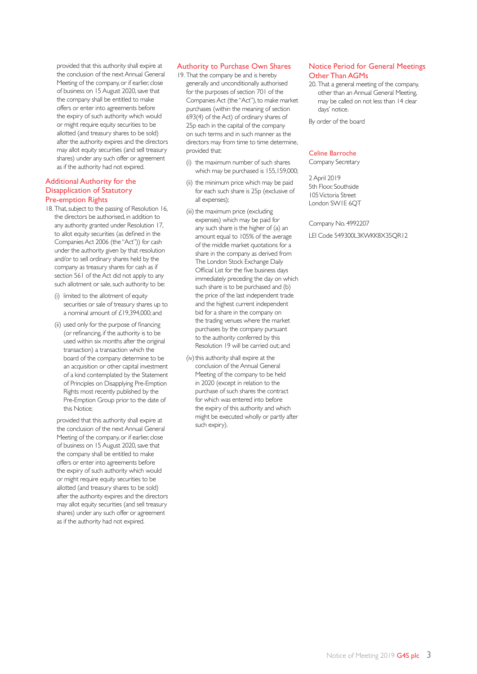provided that this authority shall expire at the conclusion of the next Annual General Meeting of the company, or if earlier, close of business on 15 August 2020, save that the company shall be entitled to make offers or enter into agreements before the expiry of such authority which would or might require equity securities to be allotted (and treasury shares to be sold) after the authority expires and the directors may allot equity securities (and sell treasury shares) under any such offer or agreement as if the authority had not expired.

#### Additional Authority for the Disapplication of Statutory Pre-emption Rights

- 18. That, subject to the passing of Resolution 16, the directors be authorised, in addition to any authority granted under Resolution 17, to allot equity securities (as defined in the Companies Act 2006 (the "Act")) for cash under the authority given by that resolution and/or to sell ordinary shares held by the company as treasury shares for cash as if section 561 of the Act did not apply to any such allotment or sale, such authority to be:
	- (i) limited to the allotment of equity securities or sale of treasury shares up to a nominal amount of £19,394,000; and
	- (ii) used only for the purpose of financing (or refinancing, if the authority is to be used within six months after the original transaction) a transaction which the board of the company determine to be an acquisition or other capital investment of a kind contemplated by the Statement of Principles on Disapplying Pre-Emption Rights most recently published by the Pre-Emption Group prior to the date of this Notice;

provided that this authority shall expire at the conclusion of the next Annual General Meeting of the company, or if earlier, close of business on 15 August 2020, save that the company shall be entitled to make offers or enter into agreements before the expiry of such authority which would or might require equity securities to be allotted (and treasury shares to be sold) after the authority expires and the directors may allot equity securities (and sell treasury shares) under any such offer or agreement as if the authority had not expired.

# Authority to Purchase Own Shares

- 19. That the company be and is hereby generally and unconditionally authorised for the purposes of section 701 of the Companies Act (the "Act"), to make market purchases (within the meaning of section 693(4) of the Act) of ordinary shares of 25p each in the capital of the company on such terms and in such manner as the directors may from time to time determine, provided that:
	- (i) the maximum number of such shares which may be purchased is 155,159,000;
	- (ii) the minimum price which may be paid for each such share is 25p (exclusive of all expenses);
	- (iii) the maximum price (excluding expenses) which may be paid for any such share is the higher of (a) an amount equal to 105% of the average of the middle market quotations for a share in the company as derived from The London Stock Exchange Daily Official List for the five business days immediately preceding the day on which such share is to be purchased and (b) the price of the last independent trade and the highest current independent bid for a share in the company on the trading venues where the market purchases by the company pursuant to the authority conferred by this Resolution 19 will be carried out; and
	- (iv) this authority shall expire at the conclusion of the Annual General Meeting of the company to be held in 2020 (except in relation to the purchase of such shares the contract for which was entered into before the expiry of this authority and which might be executed wholly or partly after such expiry).

# Notice Period for General Meetings Other Than AGMs

20. That a general meeting of the company, other than an Annual General Meeting, may be called on not less than 14 clear days' notice.

By order of the board

# Celine Barroche

Company Secretary

2 April 2019 5th Floor, Southside 105 Victoria Street London SW1E 6QT

Company No. 4992207

LEI Code 549300L3KWKK8X35QR12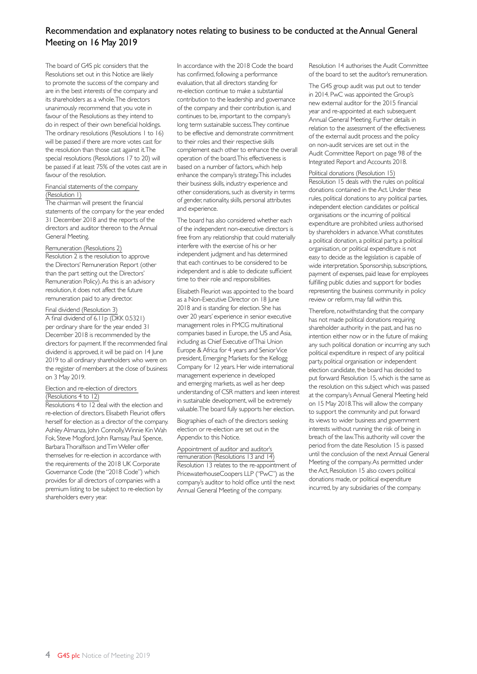# Recommendation and explanatory notes relating to business to be conducted at the Annual General Meeting on 16 May 2019

The board of G4S plc considers that the Resolutions set out in this Notice are likely to promote the success of the company and are in the best interests of the company and its shareholders as a whole. The directors unanimously recommend that you vote in favour of the Resolutions as they intend to do in respect of their own beneficial holdings. The ordinary resolutions (Resolutions 1 to 16) will be passed if there are more votes cast for the resolution than those cast against it. The special resolutions (Resolutions 17 to 20) will be passed if at least 75% of the votes cast are in favour of the resolution.

#### Financial statements of the company (Resolution 1)

The chairman will present the financial statements of the company for the year ended 31 December 2018 and the reports of the directors and auditor thereon to the Annual General Meeting.

#### Remuneration (Resolutions 2)

Resolution 2 is the resolution to approve the Directors' Remuneration Report (other than the part setting out the Directors' Remuneration Policy). As this is an advisory resolution, it does not affect the future remuneration paid to any director.

#### Final dividend (Resolution 3)

A final dividend of 6.11p (DKK 0.5321) per ordinary share for the year ended 31 December 2018 is recommended by the directors for payment. If the recommended final dividend is approved, it will be paid on 14 June 2019 to all ordinary shareholders who were on the register of members at the close of business on 3 May 2019.

# Election and re-election of directors

# (Resolutions 4 to 12)

Resolutions 4 to 12 deal with the election and re-election of directors. Elisabeth Fleuriot offers herself for election as a director of the company. Ashley Almanza, John Connolly, Winnie Kin Wah Fok, Steve Mogford, John Ramsay, Paul Spence, Barbara Thoralfsson and Tim Weller offer themselves for re-election in accordance with the requirements of the 2018 UK Corporate Governance Code (the "2018 Code") which provides for all directors of companies with a premium listing to be subject to re-election by shareholders every year.

In accordance with the 2018 Code the board has confirmed, following a performance evaluation, that all directors standing for re-election continue to make a substantial contribution to the leadership and governance of the company and their contribution is, and continues to be, important to the company's long term sustainable success. They continue to be effective and demonstrate commitment to their roles and their respective skills complement each other to enhance the overall operation of the board. This effectiveness is based on a number of factors, which help enhance the company's strategy. This includes their business skills, industry experience and other considerations, such as diversity in terms of gender, nationality, skills, personal attributes and experience.

The board has also considered whether each of the independent non-executive directors is free from any relationship that could materially interfere with the exercise of his or her independent judgment and has determined that each continues to be considered to be independent and is able to dedicate sufficient time to their role and responsibilities.

Elisabeth Fleuriot was appointed to the board as a Non-Executive Director on 18 June 2018 and is standing for election. She has over 20 years' experience in senior executive management roles in FMCG multinational companies based in Europe, the US and Asia, including as Chief Executive of Thai Union Europe & Africa for 4 years and Senior Vice president, Emerging Markets for the Kellogg Company for 12 years. Her wide international management experience in developed and emerging markets, as well as her deep understanding of CSR matters and keen interest in sustainable development, will be extremely valuable. The board fully supports her election.

Biographies of each of the directors seeking election or re-election are set out in the Appendix to this Notice.

#### Appointment of auditor and auditor's

remuneration (Resolutions 13 and 14) Resolution 13 relates to the re-appointment of PricewaterhouseCoopers LLP ("PwC") as the company's auditor to hold office until the next Annual General Meeting of the company.

Resolution 14 authorises the Audit Committee of the board to set the auditor's remuneration.

The G4S group audit was put out to tender in 2014. PwC was appointed the Group's new external auditor for the 2015 financial year and re-appointed at each subsequent Annual General Meeting. Further details in relation to the assessment of the effectiveness of the external audit process and the policy on non-audit services are set out in the Audit Committee Report on page 98 of the Integrated Report and Accounts 2018.

#### Political donations (Resolution 15)

Resolution 15 deals with the rules on political donations contained in the Act. Under these rules, political donations to any political parties, independent election candidates or political organisations or the incurring of political expenditure are prohibited unless authorised by shareholders in advance. What constitutes a political donation, a political party, a political organisation, or political expenditure is not easy to decide as the legislation is capable of wide interpretation. Sponsorship, subscriptions, payment of expenses, paid leave for employees fulfilling public duties and support for bodies representing the business community in policy review or reform, may fall within this.

Therefore, notwithstanding that the company has not made political donations requiring shareholder authority in the past, and has no intention either now or in the future of making any such political donation or incurring any such political expenditure in respect of any political party, political organisation or independent election candidate, the board has decided to put forward Resolution 15, which is the same as the resolution on this subject which was passed at the company's Annual General Meeting held on 15 May 2018. This will allow the company to support the community and put forward its views to wider business and government interests without running the risk of being in breach of the law. This authority will cover the period from the date Resolution 15 is passed until the conclusion of the next Annual General Meeting of the company. As permitted under the Act, Resolution 15 also covers political donations made, or political expenditure incurred, by any subsidiaries of the company.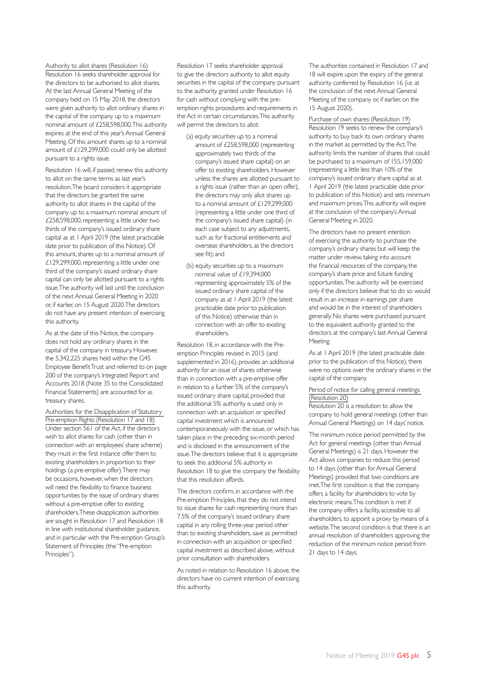#### Authority to allot shares (Resolution 16)

Resolution 16 seeks shareholder approval for the directors to be authorised to allot shares. At the last Annual General Meeting of the company held on 15 May 2018, the directors were given authority to allot ordinary shares in the capital of the company up to a maximum nominal amount of £258,598,000. This authority expires at the end of this year's Annual General Meeting. Of this amount shares up to a nominal amount of £129,299,000 could only be allotted pursuant to a rights issue.

Resolution 16 will, if passed, renew this authority to allot on the same terms as last year's resolution. The board considers it appropriate that the directors be granted the same authority to allot shares in the capital of the company up to a maximum nominal amount of £258,598,000, representing a little under two thirds of the company's issued ordinary share capital as at 1 April 2019 (the latest practicable date prior to publication of this Notice). Of this amount, shares up to a nominal amount of £129,299,000, representing a little under one third of the company's issued ordinary share capital can only be allotted pursuant to a rights issue. The authority will last until the conclusion of the next Annual General Meeting in 2020 or, if earlier, on 15 August 2020. The directors do not have any present intention of exercising this authority.

As at the date of this Notice, the company does not hold any ordinary shares in the capital of the company in treasury. However, the 5,342,225 shares held within the G4S Employee Benefit Trust and referred to on page 200 of the company's Integrated Report and Accounts 2018 (Note 35 to the Consolidated Financial Statements) are accounted for as treasury shares.

Authorities for the Disapplication of Statutory Pre-emption Rights (Resolution 17 and 18) Under section 561 of the Act, if the directors wish to allot shares for cash (other than in connection with an employees' share scheme) they must in the first instance offer them to existing shareholders in proportion to their holdings (a pre-emptive offer). There may be occasions, however, when the directors will need the flexibility to finance business opportunities by the issue of ordinary shares without a pre-emptive offer to existing shareholders. These disapplication authorities are sought in Resolution 17 and Resolution 18 in line with institutional shareholder guidance, and in particular with the Pre-emption Group's Statement of Principles (the "Pre-emption Principles").

Resolution 17 seeks shareholder approval to give the directors authority to allot equity securities in the capital of the company pursuant to the authority granted under Resolution 16 for cash without complying with the preemption rights procedures and requirements in the Act in certain circumstances. This authority will permit the directors to allot:

- (a) equity securities up to a nominal amount of £258,598,000 (representing approximately two thirds of the company's issued share capital) on an offer to existing shareholders. However unless the shares are allotted pursuant to a rights issue (rather than an open offer), the directors may only allot shares up to a nominal amount of £129,299,000 (representing a little under one third of the company's issued share capital) (in each case subject to any adjustments, such as for fractional entitlements and overseas shareholders, as the directors see fit); and
- (b) equity securities up to a maximum nominal value of £19,394,000 representing approximately 5% of the issued ordinary share capital of the company as at 1 April 2019 (the latest practicable date prior to publication of this Notice) otherwise than in connection with an offer to existing shareholders.

Resolution 18, in accordance with the Preemption Principles revised in 2015 (and supplemented in 2016), provides an additional authority for an issue of shares otherwise than in connection with a pre-emptive offer in relation to a further 5% of the company's issued ordinary share capital, provided that the additional 5% authority is used only in connection with an acquisition or specified capital investment which is announced contemporaneously with the issue, or which has taken place in the preceding six-month period and is disclosed in the announcement of the issue. The directors believe that it is appropriate to seek this additional 5% authority in Resolution 18 to give the company the flexibility that this resolution affords.

The directors confirm, in accordance with the Pre-emption Principles, that they do not intend to issue shares for cash representing more than 7.5% of the company's issued ordinary share capital in any rolling three-year period other than to existing shareholders, save as permitted in connection with an acquisition or specified capital investment as described above, without prior consultation with shareholders.

As noted in relation to Resolution 16 above, the directors have no current intention of exercising this authority.

The authorities contained in Resolution 17 and 18 will expire upon the expiry of the general authority conferred by Resolution 16 (i.e. at the conclusion of the next Annual General Meeting of the company or, if earlier, on the 15 August 2020).

Purchase of own shares (Resolution 19) Resolution 19 seeks to renew the company's authority to buy back its own ordinary shares in the market as permitted by the Act. The authority limits the number of shares that could be purchased to a maximum of 155,159,000 (representing a little less than 10% of the company's issued ordinary share capital as at 1 April 2019 (the latest practicable date prior to publication of this Notice) and sets minimum and maximum prices. This authority will expire at the conclusion of the company's Annual General Meeting in 2020.

The directors have no present intention of exercising the authority to purchase the company's ordinary shares but will keep the matter under review, taking into account the financial resources of the company, the company's share price and future funding opportunities. The authority will be exercised only if the directors believe that to do so would result in an increase in earnings per share and would be in the interest of shareholders generally. No shares were purchased pursuant to the equivalent authority granted to the directors at the company's last Annual General Meeting.

As at 1 April 2019 (the latest practicable date prior to the publication of this Notice), there were no options over the ordinary shares in the capital of the company.

# Period of notice for calling general meetings (Resolution 20)

Resolution 20 is a resolution to allow the company to hold general meetings (other than Annual General Meetings) on 14 days' notice.

The minimum notice period permitted by the Act for general meetings (other than Annual General Meetings) is 21 days. However the Act allows companies to reduce this period to 14 days (other than for Annual General Meetings) provided that two conditions are met. The first condition is that the company offers a facility for shareholders to vote by electronic means. This condition is met if the company offers a facility, accessible to all shareholders, to appoint a proxy by means of a website. The second condition is that there is an annual resolution of shareholders approving the reduction of the minimum notice period from 21 days to 14 days.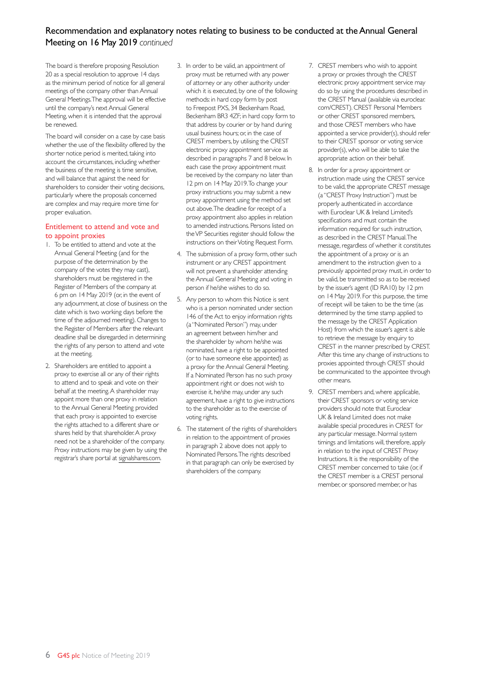# Recommendation and explanatory notes relating to business to be conducted at the Annual General Meeting on 16 May 2019 *continued*

The board is therefore proposing Resolution 20 as a special resolution to approve 14 days as the minimum period of notice for all general meetings of the company other than Annual General Meetings. The approval will be effective until the company's next Annual General Meeting, when it is intended that the approval be renewed.

The board will consider on a case by case basis whether the use of the flexibility offered by the shorter notice period is merited, taking into account the circumstances, including whether the business of the meeting is time sensitive, and will balance that against the need for shareholders to consider their voting decisions, particularly where the proposals concerned are complex and may require more time for proper evaluation.

# Entitlement to attend and vote and to appoint proxies

- 1. To be entitled to attend and vote at the Annual General Meeting (and for the purpose of the determination by the company of the votes they may cast), shareholders must be registered in the Register of Members of the company at 6 pm on 14 May 2019 (or, in the event of any adjournment, at close of business on the date which is two working days before the time of the adjourned meeting). Changes to the Register of Members after the relevant deadline shall be disregarded in determining the rights of any person to attend and vote at the meeting.
- 2. Shareholders are entitled to appoint a proxy to exercise all or any of their rights to attend and to speak and vote on their behalf at the meeting. A shareholder may appoint more than one proxy in relation to the Annual General Meeting provided that each proxy is appointed to exercise the rights attached to a different share or shares held by that shareholder. A proxy need not be a shareholder of the company. Proxy instructions may be given by using the registrar's share portal at signalshares.com.
- 3. In order to be valid, an appointment of proxy must be returned with any power of attorney or any other authority under which it is executed, by one of the following methods: in hard copy form by post to Freepost PXS, 34 Beckenham Road, Beckenham BR3 4ZF; in hard copy form to that address by courier or by hand during usual business hours; or, in the case of CREST members, by utilising the CREST electronic proxy appointment service as described in paragraphs 7 and 8 below. In each case the proxy appointment must be received by the company no later than 12 pm on 14 May 2019. To change your proxy instructions you may submit a new proxy appointment using the method set out above. The deadline for receipt of a proxy appointment also applies in relation to amended instructions. Persons listed on the VP Securities register should follow the instructions on their Voting Request Form.
- 4. The submission of a proxy form, other such instrument or any CREST appointment will not prevent a shareholder attending the Annual General Meeting and voting in person if he/she wishes to do so.
- 5. Any person to whom this Notice is sent who is a person nominated under section 146 of the Act to enjoy information rights (a "Nominated Person") may, under an agreement between him/her and the shareholder by whom he/she was nominated, have a right to be appointed (or to have someone else appointed) as a proxy for the Annual General Meeting. If a Nominated Person has no such proxy appointment right or does not wish to exercise it, he/she may, under any such agreement, have a right to give instructions to the shareholder as to the exercise of voting rights.
- 6. The statement of the rights of shareholders in relation to the appointment of proxies in paragraph 2 above does not apply to Nominated Persons. The rights described in that paragraph can only be exercised by shareholders of the company.
- 7. CREST members who wish to appoint a proxy or proxies through the CREST electronic proxy appointment service may do so by using the procedures described in the CREST Manual (available via euroclear. com/CREST). CREST Personal Members or other CREST sponsored members, and those CREST members who have appointed a service provider(s), should refer to their CREST sponsor or voting service provider(s), who will be able to take the appropriate action on their behalf.
- 8. In order for a proxy appointment or instruction made using the CREST service to be valid, the appropriate CREST message (a "CREST Proxy Instruction") must be properly authenticated in accordance with Euroclear UK & Ireland Limited's specifications and must contain the information required for such instruction, as described in the CREST Manual. The message, regardless of whether it constitutes the appointment of a proxy or is an amendment to the instruction given to a previously appointed proxy must, in order to be valid, be transmitted so as to be received by the issuer's agent (ID RA10) by 12 pm on 14 May 2019. For this purpose, the time of receipt will be taken to be the time (as determined by the time stamp applied to the message by the CREST Application Host) from which the issuer's agent is able to retrieve the message by enquiry to CREST in the manner prescribed by CREST. After this time any change of instructions to proxies appointed through CREST should be communicated to the appointee through other means.
- 9. CREST members and, where applicable, their CREST sponsors or voting service providers should note that Euroclear UK & Ireland Limited does not make available special procedures in CREST for any particular message. Normal system timings and limitations will, therefore, apply in relation to the input of CREST Proxy Instructions. It is the responsibility of the CREST member concerned to take (or, if the CREST member is a CREST personal member, or sponsored member, or has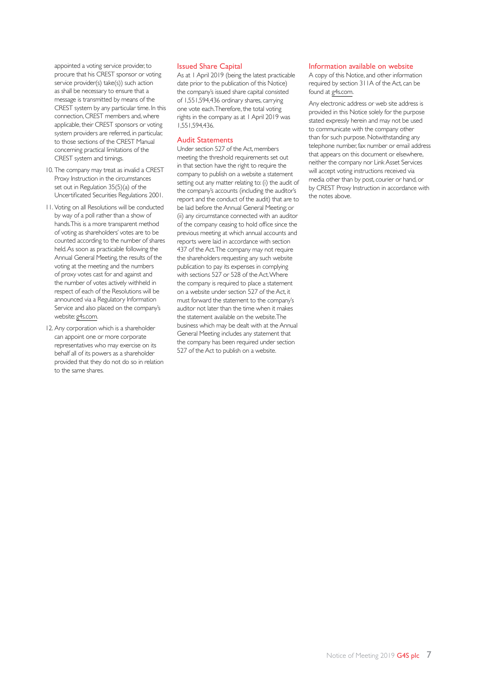appointed a voting service provider, to procure that his CREST sponsor or voting service provider(s) take(s)) such action as shall be necessary to ensure that a message is transmitted by means of the CREST system by any particular time. In this connection, CREST members and, where applicable, their CREST sponsors or voting system providers are referred, in particular, to those sections of the CREST Manual concerning practical limitations of the CREST system and timings.

- 10. The company may treat as invalid a CREST Proxy Instruction in the circumstances set out in Regulation 35(5)(a) of the Uncertificated Securities Regulations 2001.
- 11. Voting on all Resolutions will be conducted by way of a poll rather than a show of hands. This is a more transparent method of voting as shareholders' votes are to be counted according to the number of shares held. As soon as practicable following the Annual General Meeting, the results of the voting at the meeting and the numbers of proxy votes cast for and against and the number of votes actively withheld in respect of each of the Resolutions will be announced via a Regulatory Information Service and also placed on the company's website: g4s.com.
- 12. Any corporation which is a shareholder can appoint one or more corporate representatives who may exercise on its behalf all of its powers as a shareholder provided that they do not do so in relation to the same shares.

## Issued Share Capital

As at 1 April 2019 (being the latest practicable date prior to the publication of this Notice) the company's issued share capital consisted of 1,551,594,436 ordinary shares, carrying one vote each. Therefore, the total voting rights in the company as at 1 April 2019 was 1,551,594,436.

#### Audit Statements

Under section 527 of the Act, members meeting the threshold requirements set out in that section have the right to require the company to publish on a website a statement setting out any matter relating to: (i) the audit of the company's accounts (including the auditor's report and the conduct of the audit) that are to be laid before the Annual General Meeting; or (ii) any circumstance connected with an auditor of the company ceasing to hold office since the previous meeting at which annual accounts and reports were laid in accordance with section 437 of the Act. The company may not require the shareholders requesting any such website publication to pay its expenses in complying with sections 527 or 528 of the Act. Where the company is required to place a statement on a website under section 527 of the Act, it must forward the statement to the company's auditor not later than the time when it makes the statement available on the website. The business which may be dealt with at the Annual General Meeting includes any statement that the company has been required under section 527 of the Act to publish on a website.

#### Information available on website

A copy of this Notice, and other information required by section 311A of the Act, can be found at g4s.com.

Any electronic address or web site address is provided in this Notice solely for the purpose stated expressly herein and may not be used to communicate with the company other than for such purpose. Notwithstanding any telephone number, fax number or email address that appears on this document or elsewhere, neither the company nor Link Asset Services will accept voting instructions received via media other than by post, courier or hand, or by CREST Proxy Instruction in accordance with the notes above.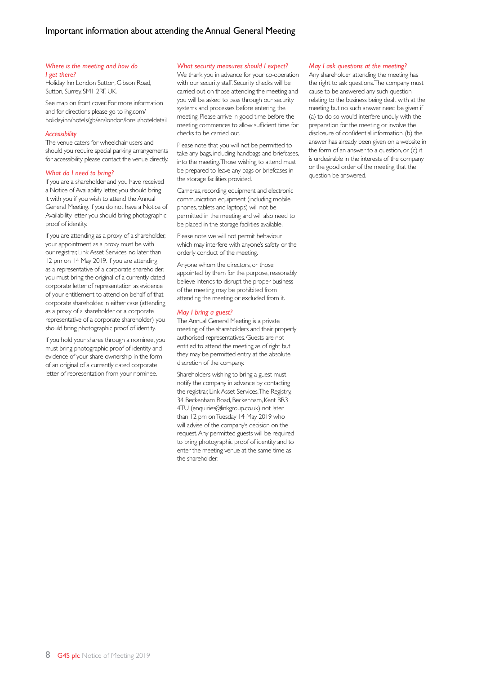#### *Where is the meeting and how do I get there?*

Holiday Inn London Sutton, Gibson Road, Sutton, Surrey, SM1 2RF, UK.

See map on front cover. For more information and for directions please go to ihg.com/ holidayinn/hotels/gb/en/london/lonsu/hoteldetail

#### *Accessibility*

The venue caters for wheelchair users and should you require special parking arrangements for accessibility please contact the venue directly.

#### *What do I need to bring?*

If you are a shareholder and you have received a Notice of Availability letter, you should bring it with you if you wish to attend the Annual General Meeting. If you do not have a Notice of Availability letter you should bring photographic proof of identity.

If you are attending as a proxy of a shareholder, your appointment as a proxy must be with our registrar, Link Asset Services, no later than 12 pm on 14 May 2019. If you are attending as a representative of a corporate shareholder, you must bring the original of a currently dated corporate letter of representation as evidence of your entitlement to attend on behalf of that corporate shareholder. In either case (attending as a proxy of a shareholder or a corporate representative of a corporate shareholder) you should bring photographic proof of identity.

If you hold your shares through a nominee, you must bring photographic proof of identity and evidence of your share ownership in the form of an original of a currently dated corporate letter of representation from your nominee.

#### *What security measures should I expect?*

We thank you in advance for your co-operation with our security staff. Security checks will be carried out on those attending the meeting and you will be asked to pass through our security systems and processes before entering the meeting. Please arrive in good time before the meeting commences to allow sufficient time for checks to be carried out.

Please note that you will not be permitted to take any bags, including handbags and briefcases, into the meeting. Those wishing to attend must be prepared to leave any bags or briefcases in the storage facilities provided.

Cameras, recording equipment and electronic communication equipment (including mobile phones, tablets and laptops) will not be permitted in the meeting and will also need to be placed in the storage facilities available.

Please note we will not permit behaviour which may interfere with anyone's safety or the orderly conduct of the meeting.

Anyone whom the directors, or those appointed by them for the purpose, reasonably believe intends to disrupt the proper business of the meeting may be prohibited from attending the meeting or excluded from it.

#### *May I bring a guest?*

The Annual General Meeting is a private meeting of the shareholders and their properly authorised representatives. Guests are not entitled to attend the meeting as of right but they may be permitted entry at the absolute discretion of the company.

Shareholders wishing to bring a guest must notify the company in advance by contacting the registrar, Link Asset Services, The Registry, 34 Beckenham Road, Beckenham, Kent BR3 4TU (enquiries@linkgroup.co.uk) not later than 12 pm on Tuesday 14 May 2019 who will advise of the company's decision on the request. Any permitted guests will be required to bring photographic proof of identity and to enter the meeting venue at the same time as the shareholder.

#### *May I ask questions at the meeting?*

Any shareholder attending the meeting has the right to ask questions. The company must cause to be answered any such question relating to the business being dealt with at the meeting but no such answer need be given if (a) to do so would interfere unduly with the preparation for the meeting or involve the disclosure of confidential information, (b) the answer has already been given on a website in the form of an answer to a question, or (c) it is undesirable in the interests of the company or the good order of the meeting that the question be answered.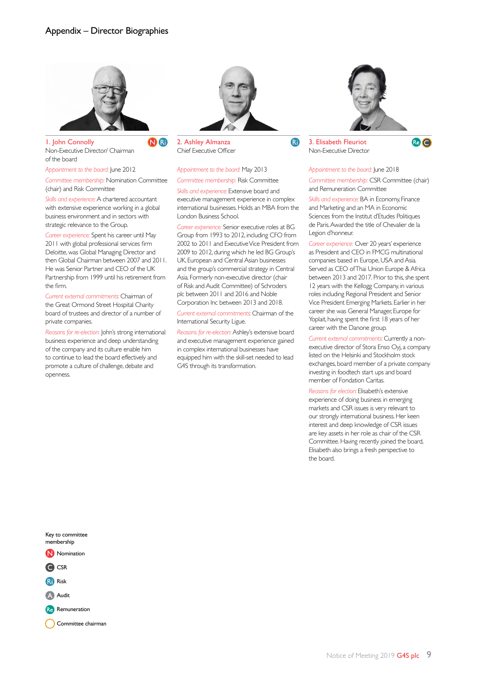

1. John Connolly Non-Executive Director/ Chairman of the board

*Appointment to the board:* June 2012

*Committee membership:* Nomination Committee (chair) and Risk Committee

*Skills and experience:* A chartered accountant with extensive experience working in a global business environment and in sectors with strategic relevance to the Group.

*Career experience:* Spent his career until May 2011 with global professional services firm Deloitte, was Global Managing Director and then Global Chairman between 2007 and 2011. He was Senior Partner and CEO of the UK Partnership from 1999 until his retirement from the firm.

*Current external commitments:* Chairman of the Great Ormond Street Hospital Charity board of trustees and director of a number of private companies.

*Reasons for re-election:* John's strong international business experience and deep understanding of the company and its culture enable him to continue to lead the board effectively and promote a culture of challenge, debate and openness.



2. Ashley Almanza Chief Executive Officer

#### *Appointment to the board:* May 2013 *Committee membership:* Risk Committee

*Skills and experience:* Extensive board and executive management experience in complex international businesses. Holds an MBA from the London Business School.

*Career experience:* Senior executive roles at BG Group from 1993 to 2012, including CFO from 2002 to 2011 and Executive Vice President from 2009 to 2012, during which he led BG Group's UK, European and Central Asian businesses and the group's commercial strategy in Central Asia. Formerly non-executive director (chair of Risk and Audit Committee) of Schroders plc between 2011 and 2016 and Noble Corporation Inc between 2013 and 2018.

*Current external commitments:* Chairman of the International Security Ligue.

*Reasons for re-election:* Ashley's extensive board and executive management experience gained in complex international businesses have equipped him with the skill-set needed to lead G4S through its transformation.



3. Elisabeth Fleuriot Non-Executive Director

**RI** 

Re C

#### *Appointment to the board:* June 2018

*Committee membership:* CSR Committee (chair) and Remuneration Committee

*Skills and experience:* BA in Economy, Finance and Marketing and an MA in Economic Sciences from the Institut d'Etudes Politiques de Paris. Awarded the title of Chevalier de la Legion d'honneur.

*Career experience:* Over 20 years' experience as President and CEO in FMCG multinational companies based in Europe, USA and Asia. Served as CEO of Thai Union Europe & Africa between 2013 and 2017. Prior to this, she spent 12 years with the Kellogg Company, in various roles including Regional President and Senior Vice President Emerging Markets. Earlier in her career she was General Manager, Europe for Yoplait, having spent the first 18 years of her career with the Danone group.

*Current external commitments:* Currently a nonexecutive director of Stora Enso Oyj, a company listed on the Helsinki and Stockholm stock exchanges, board member of a private company investing in foodtech start ups and board member of Fondation Caritas.

*Reasons for election:* Elisabeth's extensive experience of doing business in emerging markets and CSR issues is very relevant to our strongly international business. Her keen interest and deep knowledge of CSR issues are key assets in her role as chair of the CSR Committee. Having recently joined the board, Elisabeth also brings a fresh perspective to the board.



Committee chairman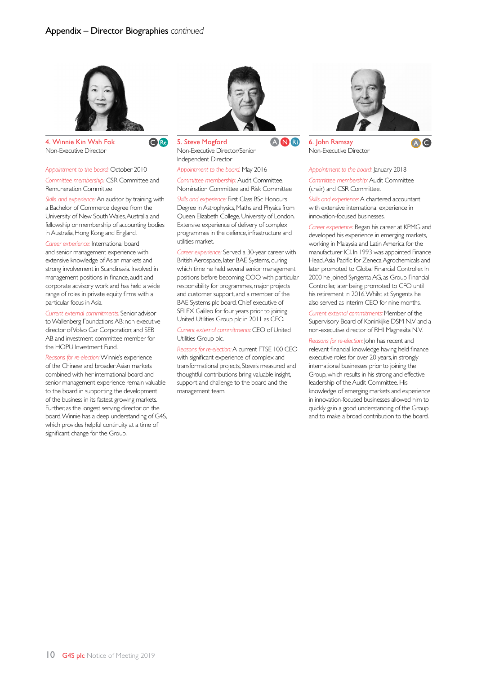**O** Re



4. Winnie Kin Wah Fok Non-Executive Director

*Appointment to the board:* October 2010 *Committee membership:* CSR Committee and Remuneration Committee

*Skills and experience:* An auditor by training, with a Bachelor of Commerce degree from the University of New South Wales, Australia and fellowship or membership of accounting bodies in Australia, Hong Kong and England.

*Career experience:* International board and senior management experience with extensive knowledge of Asian markets and strong involvement in Scandinavia. Involved in management positions in finance, audit and corporate advisory work and has held a wide range of roles in private equity firms with a particular focus in Asia.

*Current external commitments:* Senior advisor to Wallenberg Foundations AB; non-executive director of Volvo Car Corporation; and SEB AB and investment committee member for the HOPU Investment Fund.

*Reasons for re-election:* Winnie's experience of the Chinese and broader Asian markets combined with her international board and senior management experience remain valuable to the board in supporting the development of the business in its fastest growing markets. Further, as the longest serving director on the board, Winnie has a deep understanding of G4S, which provides helpful continuity at a time of significant change for the Group.



5. Steve Mogford Non-Executive Director/Senior Independent Director

*Appointment to the board:* May 2016

*Committee membership:* Audit Committee, Nomination Committee and Risk Committee

*Skills and experience:* First Class BSc Honours Degree in Astrophysics, Maths and Physics from Queen Elizabeth College, University of London. Extensive experience of delivery of complex programmes in the defence, infrastructure and utilities market.

*Career experience:* Served a 30-year career with British Aerospace, later BAE Systems, during which time he held several senior management positions before becoming COO, with particular responsibility for programmes, major projects and customer support, and a member of the BAE Systems plc board. Chief executive of SELEX Galileo for four years prior to joining United Utilities Group plc in 2011 as CEO.

*Current external commitments:* CEO of United Utilities Group plc.

*Reasons for re-election:* A current FTSE 100 CEO with significant experience of complex and transformational projects, Steve's measured and thoughtful contributions bring valuable insight, support and challenge to the board and the management team.



6. John Ramsay Non-Executive Director



*Appointment to the board:* January 2018 *Committee membership:* Audit Committee (chair) and CSR Committee.

*Skills and experience:* A chartered accountant with extensive international experience in innovation-focused businesses.

*Career experience:* Began his career at KPMG and developed his experience in emerging markets, working in Malaysia and Latin America for the manufacturer ICI. In 1993 was appointed Finance Head, Asia Pacific for Zeneca Agrochemicals and later promoted to Global Financial Controller. In 2000 he joined Syngenta AG, as Group Financial Controller, later being promoted to CFO until his retirement in 2016. Whilst at Syngenta he also served as interim CEO for nine months.

*Current external commitments:* Member of the Supervisory Board of Koninkijke DSM N.V and a non-executive director of RHI Magnesita N.V.

*Reasons for re-election:* John has recent and relevant financial knowledge having held finance executive roles for over 20 years, in strongly international businesses prior to joining the Group, which results in his strong and effective leadership of the Audit Committee. His knowledge of emerging markets and experience in innovation-focused businesses allowed him to quickly gain a good understanding of the Group and to make a broad contribution to the board.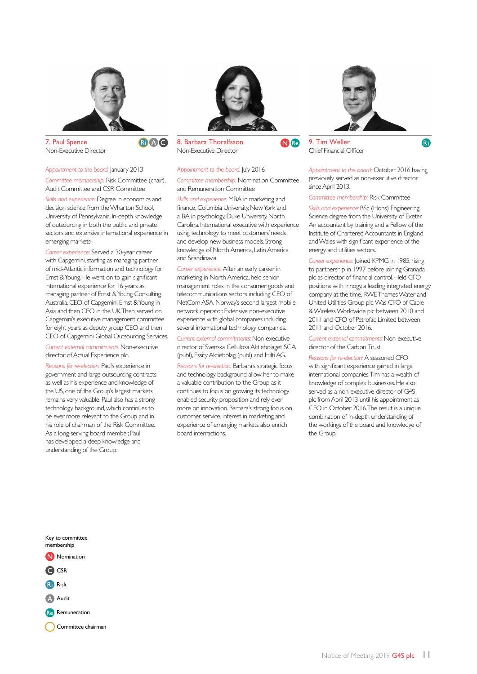

7. Paul Spence Non-Executive Director

*Appointment to the board:* January 2013 *Committee membership:* Risk Committee (chair), Audit Committee and CSR Committee

RiAO

*Skills and experience:* Degree in economics and decision science from the Wharton School, University of Pennsylvania. In-depth knowledge of outsourcing in both the public and private sectors and extensive international experience in emerging markets.

*Career experience:* Served a 30-year career with Capgemini, starting as managing partner of mid-Atlantic information and technology for Ernst & Young. He went on to gain significant international experience for 16 years as managing partner of Ernst & Young Consulting Australia, CEO of Capgemini Ernst & Young in Asia and then CEO in the UK. Then served on Capgemini's executive management committee for eight years as deputy group CEO and then CEO of Capgemini Global Outsourcing Services.

*Current external commitments:* Non-executive director of Actual Experience plc.

*Reasons for re-election:* Paul's experience in government and large outsourcing contracts as well as his experience and knowledge of the US, one of the Group's largest markets remains very valuable. Paul also has a strong technology background, which continues to be ever more relevant to the Group and in his role of chairman of the Risk Committee. As a long-serving board member, Paul has developed a deep knowledge and understanding of the Group.



8. Barbara Thoralfsson Non-Executive Director

*Appointment to the board:* July 2016

and Remuneration Committee

and Scandinavia.

board interractions.

*Committee membership:* Nomination Committee

*Skills and experience:* MBA in marketing and finance, Columbia University, New York and a BA in psychology, Duke University, North Carolina. International executive with experience using technology to meet customers' needs and develop new business models. Strong knowledge of North America, Latin America

*Career experience:* After an early career in marketing in North America, held senior management roles in the consumer goods and telecommunications sectors including CEO of NetCom ASA, Norway's second largest mobile network operator. Extensive non-executive experience with global companies including several international technology companies. *Current external commitments:* Non-executive director of Svenska Cellulosa Aktiebolaget SCA (publ), Essity Aktiebolag (publ) and Hilti AG. *Reasons for re-election:* Barbara's strategic focus and technology background allow her to make a valuable contribution to the Group as it continues to focus on growing its technology enabled security proposition and rely ever more on innovation. Barbara's strong focus on customer service, interest in marketing and experience of emerging markets also enrich

# N<sub>Re</sub>



9. Tim Weller Chief Financial Officer **a** 

*Appointment to the board:* October 2016 having previously served as non-executive director since April 2013.

*Committee membership:* Risk Committee

*Skills and experience:* BSc (Hons) Engineering Science degree from the University of Exeter. An accountant by training and a Fellow of the Institute of Chartered Accountants in England and Wales with significant experience of the energy and utilities sectors.

*Career experience:* Joined KPMG in 1985, rising to partnership in 1997 before joining Granada plc as director of financial control. Held CFO positions with Innogy, a leading integrated energy company at the time, RWE Thames Water and United Utilities Group plc. Was CFO of Cable & Wireless Worldwide plc between 2010 and 2011 and CFO of Petrofac Limited between 2011 and October 2016.

*Current external commitments:* Non-executive director of the Carbon Trust.

*Reasons for re-election:* A seasoned CFO with significant experience gained in large international companies, Tim has a wealth of knowledge of complex businesses. He also served as a non-executive director of G4S plc from April 2013 until his appointment as CFO in October 2016. The result is a unique combination of in-depth understanding of the workings of the board and knowledge of the Group.

Key to committee membership N Nomination C CSR Ri**n** Risk A Audit

Re Remuneration

Committee chairman